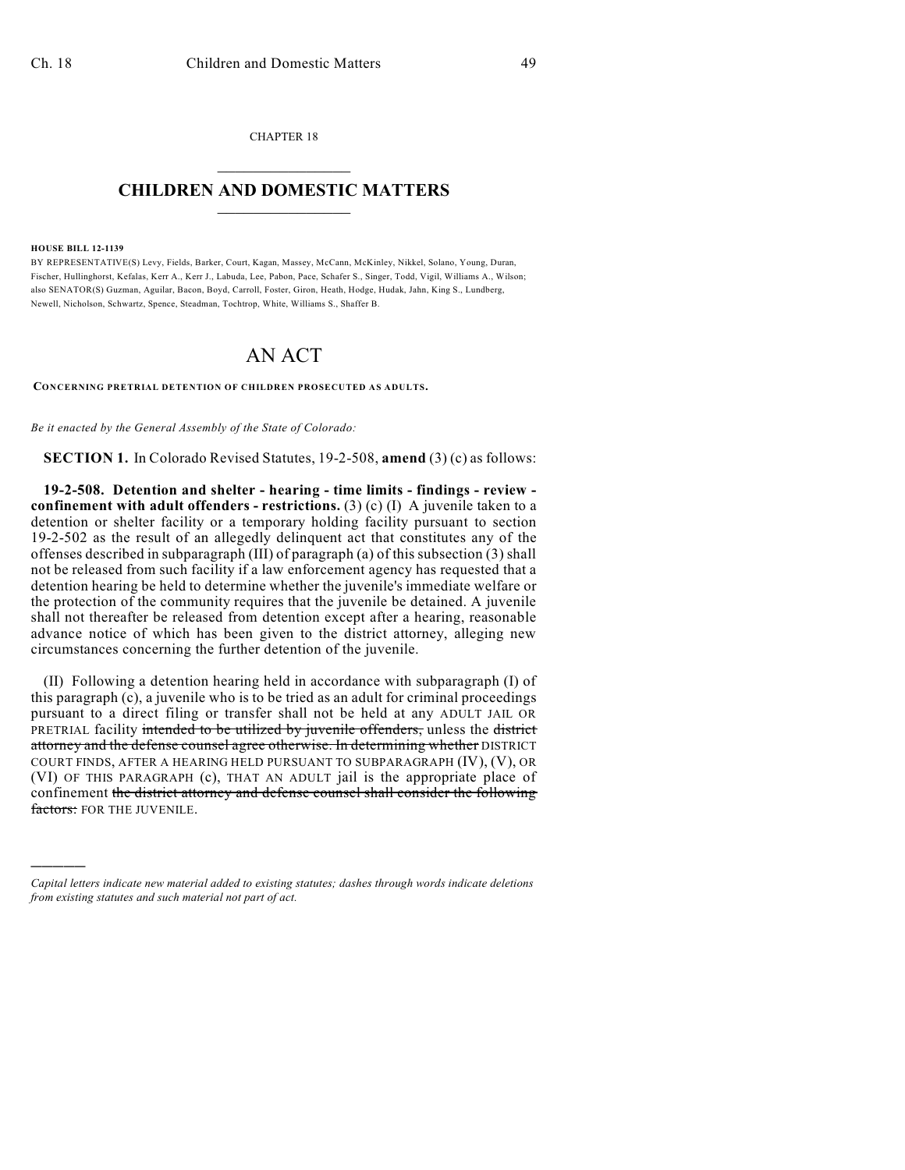CHAPTER 18  $\overline{\phantom{a}}$  . The set of the set of the set of the set of the set of the set of the set of the set of the set of the set of the set of the set of the set of the set of the set of the set of the set of the set of the set o

## **CHILDREN AND DOMESTIC MATTERS**  $\_$

## **HOUSE BILL 12-1139**

)))))

BY REPRESENTATIVE(S) Levy, Fields, Barker, Court, Kagan, Massey, McCann, McKinley, Nikkel, Solano, Young, Duran, Fischer, Hullinghorst, Kefalas, Kerr A., Kerr J., Labuda, Lee, Pabon, Pace, Schafer S., Singer, Todd, Vigil, Williams A., Wilson; also SENATOR(S) Guzman, Aguilar, Bacon, Boyd, Carroll, Foster, Giron, Heath, Hodge, Hudak, Jahn, King S., Lundberg, Newell, Nicholson, Schwartz, Spence, Steadman, Tochtrop, White, Williams S., Shaffer B.

## AN ACT

**CONCERNING PRETRIAL DETENTION OF CHILDREN PROSECUTED AS ADULTS.**

*Be it enacted by the General Assembly of the State of Colorado:*

**SECTION 1.** In Colorado Revised Statutes, 19-2-508, **amend** (3) (c) as follows:

**19-2-508. Detention and shelter - hearing - time limits - findings - review confinement with adult offenders - restrictions.** (3) (c) (I) A juvenile taken to a detention or shelter facility or a temporary holding facility pursuant to section 19-2-502 as the result of an allegedly delinquent act that constitutes any of the offenses described in subparagraph (III) of paragraph (a) of this subsection (3) shall not be released from such facility if a law enforcement agency has requested that a detention hearing be held to determine whether the juvenile's immediate welfare or the protection of the community requires that the juvenile be detained. A juvenile shall not thereafter be released from detention except after a hearing, reasonable advance notice of which has been given to the district attorney, alleging new circumstances concerning the further detention of the juvenile.

(II) Following a detention hearing held in accordance with subparagraph (I) of this paragraph (c), a juvenile who is to be tried as an adult for criminal proceedings pursuant to a direct filing or transfer shall not be held at any ADULT JAIL OR PRETRIAL facility intended to be utilized by juvenile offenders, unless the district attorney and the defense counsel agree otherwise. In determining whether DISTRICT COURT FINDS, AFTER A HEARING HELD PURSUANT TO SUBPARAGRAPH (IV), (V), OR (VI) OF THIS PARAGRAPH (c), THAT AN ADULT jail is the appropriate place of confinement the district attorney and defense counsel shall consider the following factors: FOR THE JUVENILE.

*Capital letters indicate new material added to existing statutes; dashes through words indicate deletions from existing statutes and such material not part of act.*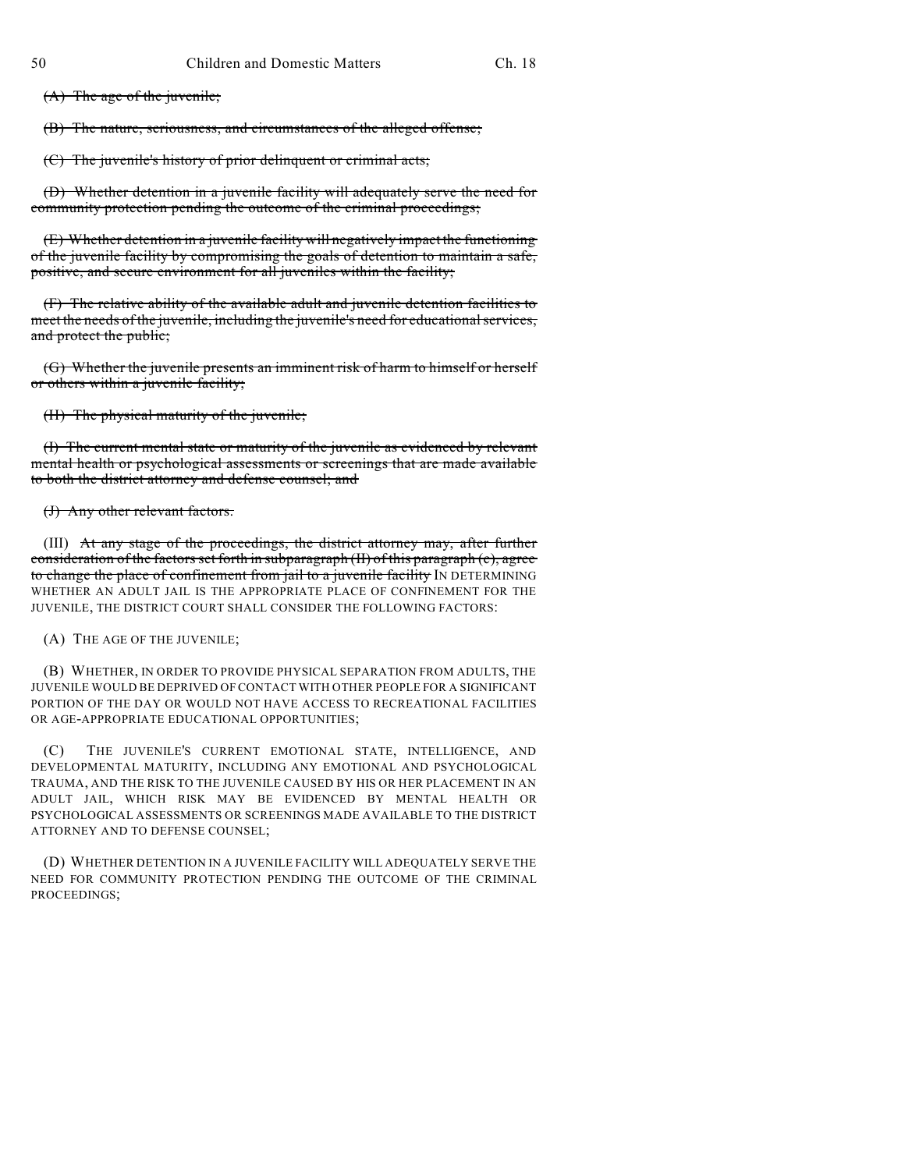(A) The age of the juvenile;

(B) The nature, seriousness, and circumstances of the alleged offense;

(C) The juvenile's history of prior delinquent or criminal acts;

(D) Whether detention in a juvenile facility will adequately serve the need for community protection pending the outcome of the criminal proceedings;

(E) Whether detention in a juvenile facility will negatively impact the functioning of the juvenile facility by compromising the goals of detention to maintain a safe, positive, and secure environment for all juveniles within the facility;

(F) The relative ability of the available adult and juvenile detention facilities to meet the needs of the juvenile, including the juvenile's need for educational services, and protect the public;

(G) Whether the juvenile presents an imminent risk of harm to himself or herself or others within a juvenile facility;

(H) The physical maturity of the juvenile;

(I) The current mental state or maturity of the juvenile as evidenced by relevant mental health or psychological assessments or screenings that are made available to both the district attorney and defense counsel; and

(J) Any other relevant factors.

(III) At any stage of the proceedings, the district attorney may, after further consideration of the factors set forth in subparagraph (II) of this paragraph (c), agree to change the place of confinement from jail to a juvenile facility IN DETERMINING WHETHER AN ADULT JAIL IS THE APPROPRIATE PLACE OF CONFINEMENT FOR THE JUVENILE, THE DISTRICT COURT SHALL CONSIDER THE FOLLOWING FACTORS:

(A) THE AGE OF THE JUVENILE;

(B) WHETHER, IN ORDER TO PROVIDE PHYSICAL SEPARATION FROM ADULTS, THE JUVENILE WOULD BE DEPRIVED OF CONTACT WITH OTHER PEOPLE FOR A SIGNIFICANT PORTION OF THE DAY OR WOULD NOT HAVE ACCESS TO RECREATIONAL FACILITIES OR AGE-APPROPRIATE EDUCATIONAL OPPORTUNITIES;

(C) THE JUVENILE'S CURRENT EMOTIONAL STATE, INTELLIGENCE, AND DEVELOPMENTAL MATURITY, INCLUDING ANY EMOTIONAL AND PSYCHOLOGICAL TRAUMA, AND THE RISK TO THE JUVENILE CAUSED BY HIS OR HER PLACEMENT IN AN ADULT JAIL, WHICH RISK MAY BE EVIDENCED BY MENTAL HEALTH OR PSYCHOLOGICAL ASSESSMENTS OR SCREENINGS MADE AVAILABLE TO THE DISTRICT ATTORNEY AND TO DEFENSE COUNSEL;

(D) WHETHER DETENTION IN A JUVENILE FACILITY WILL ADEQUATELY SERVE THE NEED FOR COMMUNITY PROTECTION PENDING THE OUTCOME OF THE CRIMINAL PROCEEDINGS;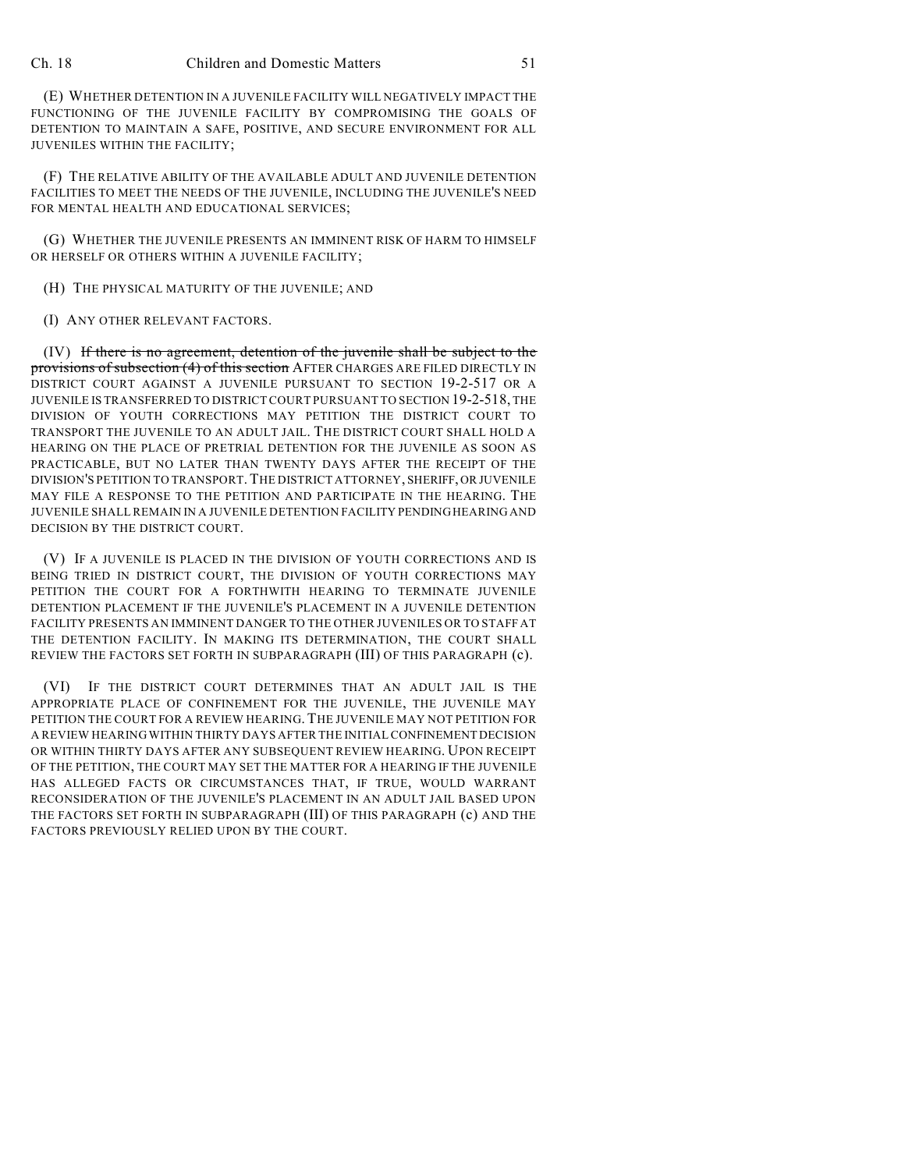(E) WHETHER DETENTION IN A JUVENILE FACILITY WILL NEGATIVELY IMPACT THE FUNCTIONING OF THE JUVENILE FACILITY BY COMPROMISING THE GOALS OF DETENTION TO MAINTAIN A SAFE, POSITIVE, AND SECURE ENVIRONMENT FOR ALL JUVENILES WITHIN THE FACILITY;

(F) THE RELATIVE ABILITY OF THE AVAILABLE ADULT AND JUVENILE DETENTION FACILITIES TO MEET THE NEEDS OF THE JUVENILE, INCLUDING THE JUVENILE'S NEED FOR MENTAL HEALTH AND EDUCATIONAL SERVICES;

(G) WHETHER THE JUVENILE PRESENTS AN IMMINENT RISK OF HARM TO HIMSELF OR HERSELF OR OTHERS WITHIN A JUVENILE FACILITY;

(H) THE PHYSICAL MATURITY OF THE JUVENILE; AND

(I) ANY OTHER RELEVANT FACTORS.

(IV) If there is no agreement, detention of the juvenile shall be subject to the provisions of subsection (4) of this section AFTER CHARGES ARE FILED DIRECTLY IN DISTRICT COURT AGAINST A JUVENILE PURSUANT TO SECTION 19-2-517 OR A JUVENILE IS TRANSFERRED TO DISTRICT COURT PURSUANT TO SECTION 19-2-518, THE DIVISION OF YOUTH CORRECTIONS MAY PETITION THE DISTRICT COURT TO TRANSPORT THE JUVENILE TO AN ADULT JAIL. THE DISTRICT COURT SHALL HOLD A HEARING ON THE PLACE OF PRETRIAL DETENTION FOR THE JUVENILE AS SOON AS PRACTICABLE, BUT NO LATER THAN TWENTY DAYS AFTER THE RECEIPT OF THE DIVISION'S PETITION TO TRANSPORT.THE DISTRICT ATTORNEY, SHERIFF, OR JUVENILE MAY FILE A RESPONSE TO THE PETITION AND PARTICIPATE IN THE HEARING. THE JUVENILE SHALL REMAIN IN A JUVENILE DETENTION FACILITY PENDINGHEARING AND DECISION BY THE DISTRICT COURT.

(V) IF A JUVENILE IS PLACED IN THE DIVISION OF YOUTH CORRECTIONS AND IS BEING TRIED IN DISTRICT COURT, THE DIVISION OF YOUTH CORRECTIONS MAY PETITION THE COURT FOR A FORTHWITH HEARING TO TERMINATE JUVENILE DETENTION PLACEMENT IF THE JUVENILE'S PLACEMENT IN A JUVENILE DETENTION FACILITY PRESENTS AN IMMINENT DANGER TO THE OTHER JUVENILES OR TO STAFF AT THE DETENTION FACILITY. IN MAKING ITS DETERMINATION, THE COURT SHALL REVIEW THE FACTORS SET FORTH IN SUBPARAGRAPH (III) OF THIS PARAGRAPH (c).

(VI) IF THE DISTRICT COURT DETERMINES THAT AN ADULT JAIL IS THE APPROPRIATE PLACE OF CONFINEMENT FOR THE JUVENILE, THE JUVENILE MAY PETITION THE COURT FOR A REVIEW HEARING. THE JUVENILE MAY NOT PETITION FOR A REVIEW HEARING WITHIN THIRTY DAYS AFTER THE INITIAL CONFINEMENT DECISION OR WITHIN THIRTY DAYS AFTER ANY SUBSEQUENT REVIEW HEARING. UPON RECEIPT OF THE PETITION, THE COURT MAY SET THE MATTER FOR A HEARING IF THE JUVENILE HAS ALLEGED FACTS OR CIRCUMSTANCES THAT, IF TRUE, WOULD WARRANT RECONSIDERATION OF THE JUVENILE'S PLACEMENT IN AN ADULT JAIL BASED UPON THE FACTORS SET FORTH IN SUBPARAGRAPH (III) OF THIS PARAGRAPH (c) AND THE FACTORS PREVIOUSLY RELIED UPON BY THE COURT.